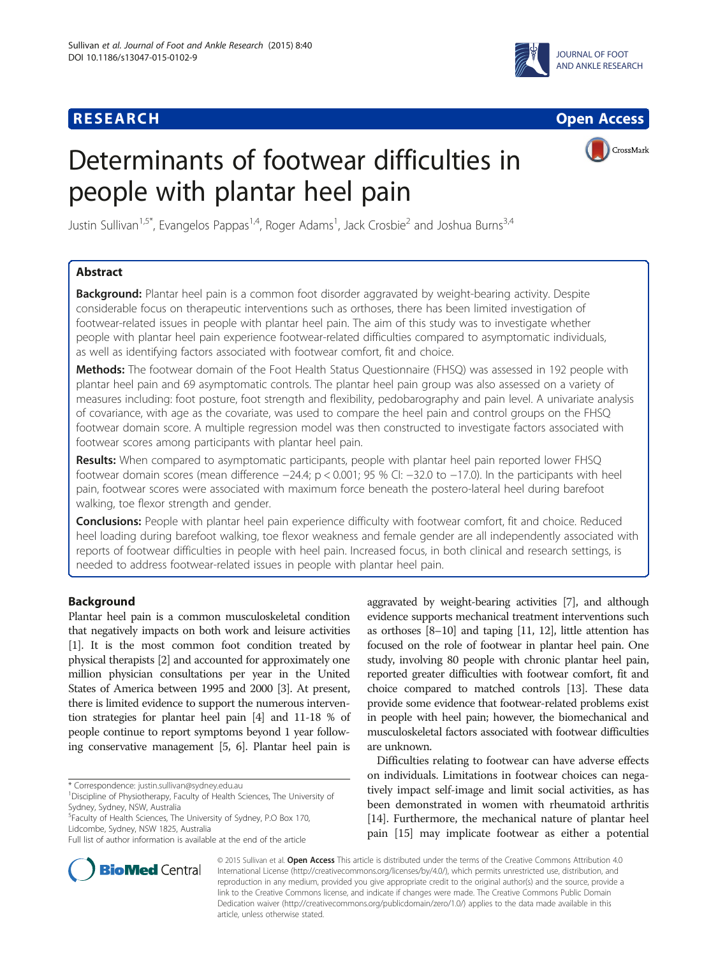## **RESEARCH CHEAR CHEAR CHEAR CHEAR CHEAR CHEAR CHEAR CHEAR CHEAR CHEAR CHEAR CHEAR CHEAR CHEAR CHEAR CHEAR CHEAR**



CrossMark

# Determinants of footwear difficulties in people with plantar heel pain

Justin Sullivan<sup>1,5\*</sup>, Evangelos Pappas<sup>1,4</sup>, Roger Adams<sup>1</sup>, Jack Crosbie<sup>2</sup> and Joshua Burns<sup>3,4</sup>

## Abstract

Background: Plantar heel pain is a common foot disorder aggravated by weight-bearing activity. Despite considerable focus on therapeutic interventions such as orthoses, there has been limited investigation of footwear-related issues in people with plantar heel pain. The aim of this study was to investigate whether people with plantar heel pain experience footwear-related difficulties compared to asymptomatic individuals, as well as identifying factors associated with footwear comfort, fit and choice.

Methods: The footwear domain of the Foot Health Status Questionnaire (FHSQ) was assessed in 192 people with plantar heel pain and 69 asymptomatic controls. The plantar heel pain group was also assessed on a variety of measures including: foot posture, foot strength and flexibility, pedobarography and pain level. A univariate analysis of covariance, with age as the covariate, was used to compare the heel pain and control groups on the FHSQ footwear domain score. A multiple regression model was then constructed to investigate factors associated with footwear scores among participants with plantar heel pain.

Results: When compared to asymptomatic participants, people with plantar heel pain reported lower FHSQ footwear domain scores (mean difference −24.4; p < 0.001; 95 % CI: −32.0 to −17.0). In the participants with heel pain, footwear scores were associated with maximum force beneath the postero-lateral heel during barefoot walking, toe flexor strength and gender.

**Conclusions:** People with plantar heel pain experience difficulty with footwear comfort, fit and choice. Reduced heel loading during barefoot walking, toe flexor weakness and female gender are all independently associated with reports of footwear difficulties in people with heel pain. Increased focus, in both clinical and research settings, is needed to address footwear-related issues in people with plantar heel pain.

## Background

Plantar heel pain is a common musculoskeletal condition that negatively impacts on both work and leisure activities [[1](#page-5-0)]. It is the most common foot condition treated by physical therapists [[2\]](#page-5-0) and accounted for approximately one million physician consultations per year in the United States of America between 1995 and 2000 [\[3\]](#page-5-0). At present, there is limited evidence to support the numerous intervention strategies for plantar heel pain [\[4\]](#page-5-0) and 11-18 % of people continue to report symptoms beyond 1 year following conservative management [[5](#page-5-0), [6\]](#page-5-0). Plantar heel pain is

\* Correspondence: [justin.sullivan@sydney.edu.au](mailto:justin.sullivan@sydney.edu.au) <sup>1</sup>

aggravated by weight-bearing activities [\[7\]](#page-5-0), and although evidence supports mechanical treatment interventions such as orthoses [\[8](#page-5-0)–[10\]](#page-6-0) and taping [\[11](#page-6-0), [12\]](#page-6-0), little attention has focused on the role of footwear in plantar heel pain. One study, involving 80 people with chronic plantar heel pain, reported greater difficulties with footwear comfort, fit and choice compared to matched controls [\[13\]](#page-6-0). These data provide some evidence that footwear-related problems exist in people with heel pain; however, the biomechanical and musculoskeletal factors associated with footwear difficulties are unknown.

Difficulties relating to footwear can have adverse effects on individuals. Limitations in footwear choices can negatively impact self-image and limit social activities, as has been demonstrated in women with rheumatoid arthritis [[14](#page-6-0)]. Furthermore, the mechanical nature of plantar heel pain [\[15\]](#page-6-0) may implicate footwear as either a potential



© 2015 Sullivan et al. Open Access This article is distributed under the terms of the Creative Commons Attribution 4.0 International License (http://creativecommons.org/licenses/by/4.0/), which permits unrestricted use, distribution, and reproduction in any medium, provided you give appropriate credit to the original author(s) and the source, provide a link to the Creative Commons license, and indicate if changes were made. The Creative Commons Public Domain Dedication waiver (http://creativecommons.org/publicdomain/zero/1.0/) applies to the data made available in this article, unless otherwise stated.

<sup>&</sup>lt;sup>1</sup> Discipline of Physiotherapy, Faculty of Health Sciences, The University of Sydney, Sydney, NSW, Australia

<sup>&</sup>lt;sup>5</sup>Faculty of Health Sciences, The University of Sydney, P.O Box 170, Lidcombe, Sydney, NSW 1825, Australia Full list of author information is available at the end of the article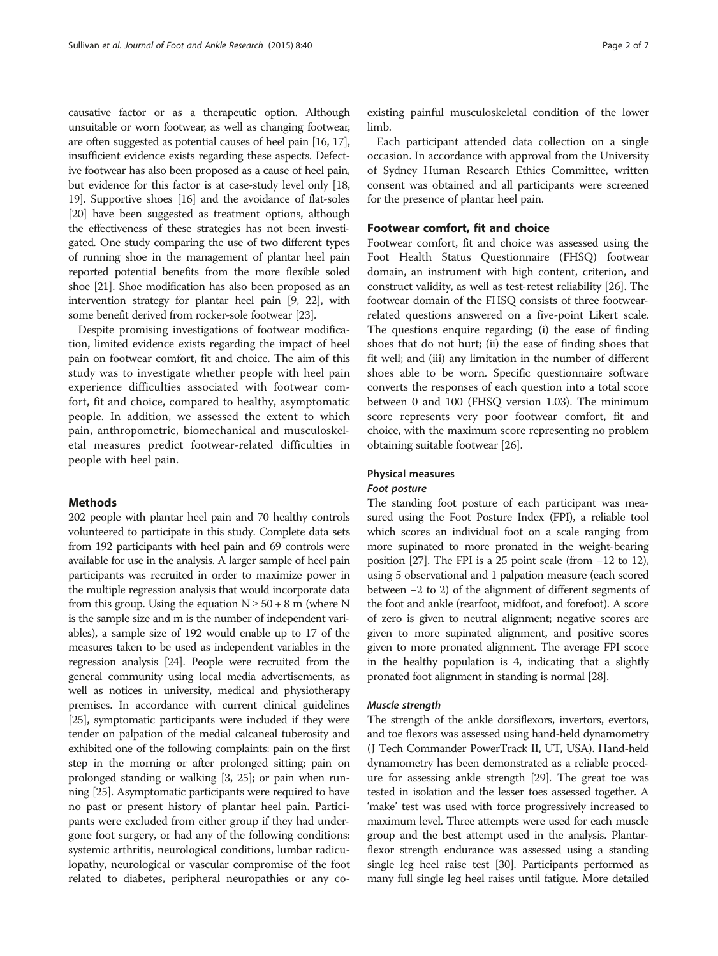causative factor or as a therapeutic option. Although unsuitable or worn footwear, as well as changing footwear, are often suggested as potential causes of heel pain [[16](#page-6-0), [17](#page-6-0)], insufficient evidence exists regarding these aspects. Defective footwear has also been proposed as a cause of heel pain, but evidence for this factor is at case-study level only [\[18](#page-6-0), [19](#page-6-0)]. Supportive shoes [\[16\]](#page-6-0) and the avoidance of flat-soles [[20](#page-6-0)] have been suggested as treatment options, although the effectiveness of these strategies has not been investigated. One study comparing the use of two different types of running shoe in the management of plantar heel pain reported potential benefits from the more flexible soled shoe [\[21](#page-6-0)]. Shoe modification has also been proposed as an intervention strategy for plantar heel pain [\[9](#page-5-0), [22\]](#page-6-0), with some benefit derived from rocker-sole footwear [\[23](#page-6-0)].

Despite promising investigations of footwear modification, limited evidence exists regarding the impact of heel pain on footwear comfort, fit and choice. The aim of this study was to investigate whether people with heel pain experience difficulties associated with footwear comfort, fit and choice, compared to healthy, asymptomatic people. In addition, we assessed the extent to which pain, anthropometric, biomechanical and musculoskeletal measures predict footwear-related difficulties in people with heel pain.

#### Methods

202 people with plantar heel pain and 70 healthy controls volunteered to participate in this study. Complete data sets from 192 participants with heel pain and 69 controls were available for use in the analysis. A larger sample of heel pain participants was recruited in order to maximize power in the multiple regression analysis that would incorporate data from this group. Using the equation  $N \ge 50 + 8$  m (where N is the sample size and m is the number of independent variables), a sample size of 192 would enable up to 17 of the measures taken to be used as independent variables in the regression analysis [\[24\]](#page-6-0). People were recruited from the general community using local media advertisements, as well as notices in university, medical and physiotherapy premises. In accordance with current clinical guidelines [[25](#page-6-0)], symptomatic participants were included if they were tender on palpation of the medial calcaneal tuberosity and exhibited one of the following complaints: pain on the first step in the morning or after prolonged sitting; pain on prolonged standing or walking [\[3](#page-5-0), [25](#page-6-0)]; or pain when running [[25](#page-6-0)]. Asymptomatic participants were required to have no past or present history of plantar heel pain. Participants were excluded from either group if they had undergone foot surgery, or had any of the following conditions: systemic arthritis, neurological conditions, lumbar radiculopathy, neurological or vascular compromise of the foot related to diabetes, peripheral neuropathies or any co-

existing painful musculoskeletal condition of the lower limb.

Each participant attended data collection on a single occasion. In accordance with approval from the University of Sydney Human Research Ethics Committee, written consent was obtained and all participants were screened for the presence of plantar heel pain.

#### Footwear comfort, fit and choice

Footwear comfort, fit and choice was assessed using the Foot Health Status Questionnaire (FHSQ) footwear domain, an instrument with high content, criterion, and construct validity, as well as test-retest reliability [[26\]](#page-6-0). The footwear domain of the FHSQ consists of three footwearrelated questions answered on a five-point Likert scale. The questions enquire regarding; (i) the ease of finding shoes that do not hurt; (ii) the ease of finding shoes that fit well; and (iii) any limitation in the number of different shoes able to be worn. Specific questionnaire software converts the responses of each question into a total score between 0 and 100 (FHSQ version 1.03). The minimum score represents very poor footwear comfort, fit and choice, with the maximum score representing no problem obtaining suitable footwear [[26](#page-6-0)].

### Physical measures

#### Foot posture

The standing foot posture of each participant was measured using the Foot Posture Index (FPI), a reliable tool which scores an individual foot on a scale ranging from more supinated to more pronated in the weight-bearing position [\[27\]](#page-6-0). The FPI is a 25 point scale (from −12 to 12), using 5 observational and 1 palpation measure (each scored between −2 to 2) of the alignment of different segments of the foot and ankle (rearfoot, midfoot, and forefoot). A score of zero is given to neutral alignment; negative scores are given to more supinated alignment, and positive scores given to more pronated alignment. The average FPI score in the healthy population is 4, indicating that a slightly pronated foot alignment in standing is normal [[28](#page-6-0)].

#### Muscle strength

The strength of the ankle dorsiflexors, invertors, evertors, and toe flexors was assessed using hand-held dynamometry (J Tech Commander PowerTrack II, UT, USA). Hand-held dynamometry has been demonstrated as a reliable procedure for assessing ankle strength [\[29\]](#page-6-0). The great toe was tested in isolation and the lesser toes assessed together. A 'make' test was used with force progressively increased to maximum level. Three attempts were used for each muscle group and the best attempt used in the analysis. Plantarflexor strength endurance was assessed using a standing single leg heel raise test [\[30](#page-6-0)]. Participants performed as many full single leg heel raises until fatigue. More detailed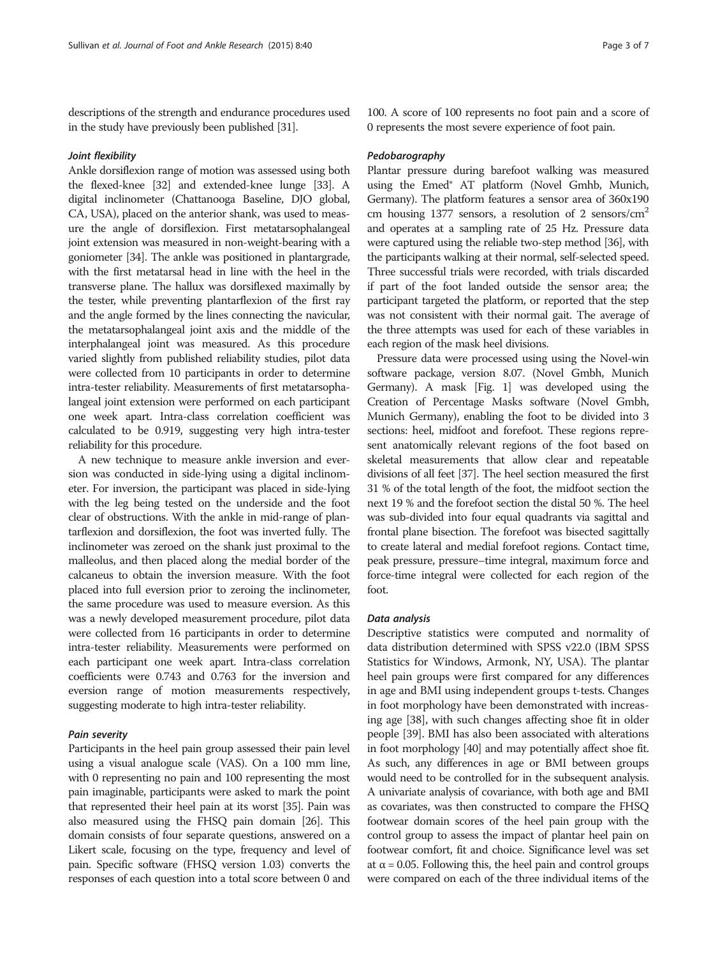descriptions of the strength and endurance procedures used in the study have previously been published [\[31](#page-6-0)].

#### Joint flexibility

Ankle dorsiflexion range of motion was assessed using both the flexed-knee [\[32\]](#page-6-0) and extended-knee lunge [\[33](#page-6-0)]. A digital inclinometer (Chattanooga Baseline, DJO global, CA, USA), placed on the anterior shank, was used to measure the angle of dorsiflexion. First metatarsophalangeal joint extension was measured in non-weight-bearing with a goniometer [[34](#page-6-0)]. The ankle was positioned in plantargrade, with the first metatarsal head in line with the heel in the transverse plane. The hallux was dorsiflexed maximally by the tester, while preventing plantarflexion of the first ray and the angle formed by the lines connecting the navicular, the metatarsophalangeal joint axis and the middle of the interphalangeal joint was measured. As this procedure varied slightly from published reliability studies, pilot data were collected from 10 participants in order to determine intra-tester reliability. Measurements of first metatarsophalangeal joint extension were performed on each participant one week apart. Intra-class correlation coefficient was calculated to be 0.919, suggesting very high intra-tester reliability for this procedure.

A new technique to measure ankle inversion and eversion was conducted in side-lying using a digital inclinometer. For inversion, the participant was placed in side-lying with the leg being tested on the underside and the foot clear of obstructions. With the ankle in mid-range of plantarflexion and dorsiflexion, the foot was inverted fully. The inclinometer was zeroed on the shank just proximal to the malleolus, and then placed along the medial border of the calcaneus to obtain the inversion measure. With the foot placed into full eversion prior to zeroing the inclinometer, the same procedure was used to measure eversion. As this was a newly developed measurement procedure, pilot data were collected from 16 participants in order to determine intra-tester reliability. Measurements were performed on each participant one week apart. Intra-class correlation coefficients were 0.743 and 0.763 for the inversion and eversion range of motion measurements respectively, suggesting moderate to high intra-tester reliability.

#### Pain severity

Participants in the heel pain group assessed their pain level using a visual analogue scale (VAS). On a 100 mm line, with 0 representing no pain and 100 representing the most pain imaginable, participants were asked to mark the point that represented their heel pain at its worst [\[35\]](#page-6-0). Pain was also measured using the FHSQ pain domain [\[26\]](#page-6-0). This domain consists of four separate questions, answered on a Likert scale, focusing on the type, frequency and level of pain. Specific software (FHSQ version 1.03) converts the responses of each question into a total score between 0 and

100. A score of 100 represents no foot pain and a score of 0 represents the most severe experience of foot pain.

#### Pedobarography

Plantar pressure during barefoot walking was measured using the Emed® AT platform (Novel Gmhb, Munich, Germany). The platform features a sensor area of 360x190 cm housing 1377 sensors, a resolution of 2 sensors/ $\text{cm}^2$ and operates at a sampling rate of 25 Hz. Pressure data were captured using the reliable two-step method [\[36\]](#page-6-0), with the participants walking at their normal, self-selected speed. Three successful trials were recorded, with trials discarded if part of the foot landed outside the sensor area; the participant targeted the platform, or reported that the step was not consistent with their normal gait. The average of the three attempts was used for each of these variables in each region of the mask heel divisions.

Pressure data were processed using using the Novel-win software package, version 8.07. (Novel Gmbh, Munich Germany). A mask [Fig. [1\]](#page-3-0) was developed using the Creation of Percentage Masks software (Novel Gmbh, Munich Germany), enabling the foot to be divided into 3 sections: heel, midfoot and forefoot. These regions represent anatomically relevant regions of the foot based on skeletal measurements that allow clear and repeatable divisions of all feet [\[37](#page-6-0)]. The heel section measured the first 31 % of the total length of the foot, the midfoot section the next 19 % and the forefoot section the distal 50 %. The heel was sub-divided into four equal quadrants via sagittal and frontal plane bisection. The forefoot was bisected sagittally to create lateral and medial forefoot regions. Contact time, peak pressure, pressure–time integral, maximum force and force-time integral were collected for each region of the foot.

#### Data analysis

Descriptive statistics were computed and normality of data distribution determined with SPSS v22.0 (IBM SPSS Statistics for Windows, Armonk, NY, USA). The plantar heel pain groups were first compared for any differences in age and BMI using independent groups t-tests. Changes in foot morphology have been demonstrated with increasing age [\[38\]](#page-6-0), with such changes affecting shoe fit in older people [\[39\]](#page-6-0). BMI has also been associated with alterations in foot morphology [\[40\]](#page-6-0) and may potentially affect shoe fit. As such, any differences in age or BMI between groups would need to be controlled for in the subsequent analysis. A univariate analysis of covariance, with both age and BMI as covariates, was then constructed to compare the FHSQ footwear domain scores of the heel pain group with the control group to assess the impact of plantar heel pain on footwear comfort, fit and choice. Significance level was set at  $\alpha$  = 0.05. Following this, the heel pain and control groups were compared on each of the three individual items of the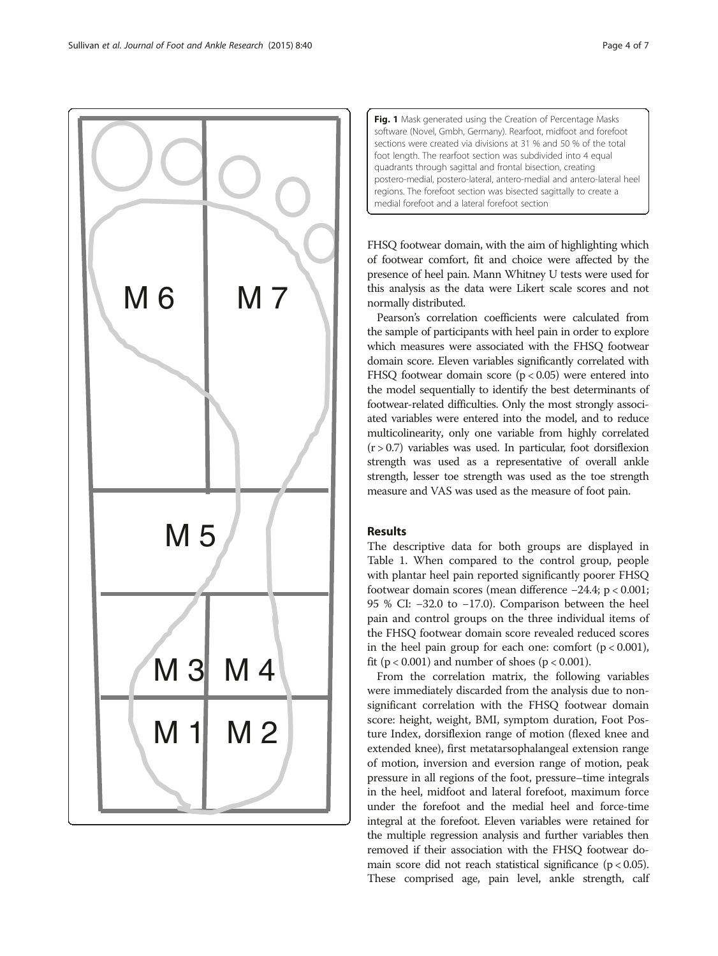<span id="page-3-0"></span>

Fig. 1 Mask generated using the Creation of Percentage Masks software (Novel, Gmbh, Germany). Rearfoot, midfoot and forefoot sections were created via divisions at 31 % and 50 % of the total foot length. The rearfoot section was subdivided into 4 equal quadrants through sagittal and frontal bisection, creating postero-medial, postero-lateral, antero-medial and antero-lateral heel regions. The forefoot section was bisected sagittally to create a medial forefoot and a lateral forefoot section

FHSQ footwear domain, with the aim of highlighting which of footwear comfort, fit and choice were affected by the presence of heel pain. Mann Whitney U tests were used for this analysis as the data were Likert scale scores and not normally distributed.

Pearson's correlation coefficients were calculated from the sample of participants with heel pain in order to explore which measures were associated with the FHSQ footwear domain score. Eleven variables significantly correlated with FHSQ footwear domain score  $(p < 0.05)$  were entered into the model sequentially to identify the best determinants of footwear-related difficulties. Only the most strongly associated variables were entered into the model, and to reduce multicolinearity, only one variable from highly correlated  $(r > 0.7)$  variables was used. In particular, foot dorsiflexion strength was used as a representative of overall ankle strength, lesser toe strength was used as the toe strength measure and VAS was used as the measure of foot pain.

#### Results

The descriptive data for both groups are displayed in Table [1](#page-4-0). When compared to the control group, people with plantar heel pain reported significantly poorer FHSQ footwear domain scores (mean difference −24.4; p < 0.001; 95 % CI: −32.0 to −17.0). Comparison between the heel pain and control groups on the three individual items of the FHSQ footwear domain score revealed reduced scores in the heel pain group for each one: comfort  $(p < 0.001)$ , fit ( $p < 0.001$ ) and number of shoes ( $p < 0.001$ ).

From the correlation matrix, the following variables were immediately discarded from the analysis due to nonsignificant correlation with the FHSQ footwear domain score: height, weight, BMI, symptom duration, Foot Posture Index, dorsiflexion range of motion (flexed knee and extended knee), first metatarsophalangeal extension range of motion, inversion and eversion range of motion, peak pressure in all regions of the foot, pressure–time integrals in the heel, midfoot and lateral forefoot, maximum force under the forefoot and the medial heel and force-time integral at the forefoot. Eleven variables were retained for the multiple regression analysis and further variables then removed if their association with the FHSQ footwear domain score did not reach statistical significance ( $p < 0.05$ ). These comprised age, pain level, ankle strength, calf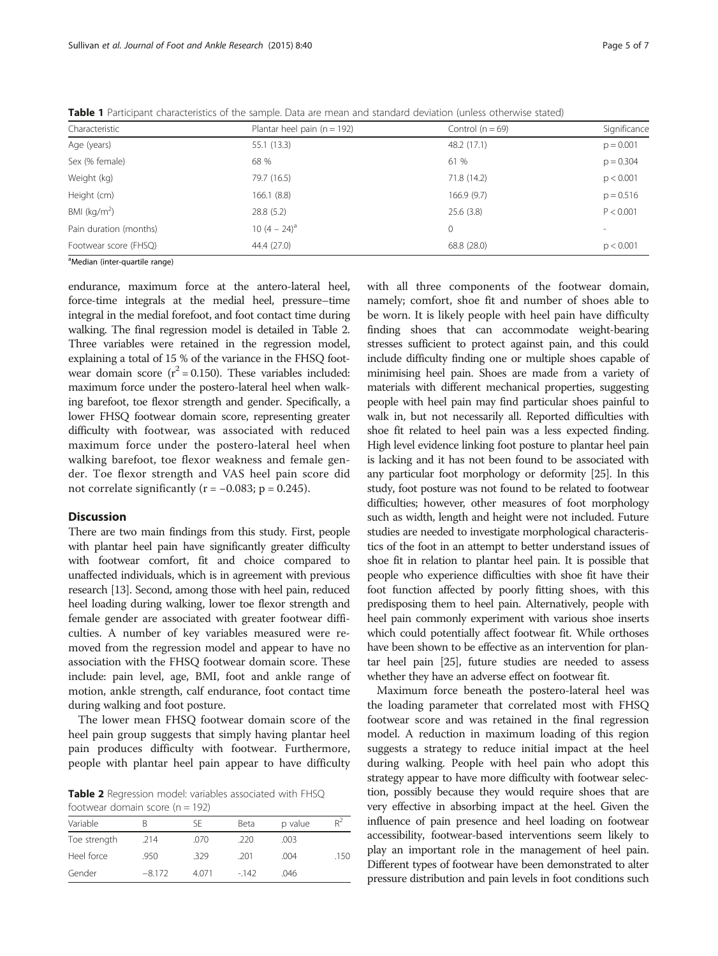| Characteristic         | Plantar heel pain $(n = 192)$ | Control $(n = 69)$ | Significance |
|------------------------|-------------------------------|--------------------|--------------|
| Age (years)            | 55.1 (13.3)                   | 48.2 (17.1)        | $p = 0.001$  |
| Sex (% female)         | 68 %                          | 61 %               | $p = 0.304$  |
| Weight (kg)            | 79.7 (16.5)                   | 71.8 (14.2)        | p < 0.001    |
| Height (cm)            | 166.1(8.8)                    | 166.9(9.7)         | $p = 0.516$  |
| BMI ( $kg/m2$ )        | 28.8(5.2)                     | 25.6(3.8)          | P < 0.001    |
| Pain duration (months) | $10(4-24)^a$                  | 0                  |              |
| Footwear score (FHSQ)  | 44.4 (27.0)                   | 68.8 (28.0)        | p < 0.001    |

<span id="page-4-0"></span>Table 1 Participant characteristics of the sample. Data are mean and standard deviation (unless otherwise stated)

<sup>a</sup>Median (inter-quartile range)

endurance, maximum force at the antero-lateral heel, force-time integrals at the medial heel, pressure–time integral in the medial forefoot, and foot contact time during walking. The final regression model is detailed in Table 2. Three variables were retained in the regression model, explaining a total of 15 % of the variance in the FHSQ footwear domain score ( $r^2$  = 0.150). These variables included: maximum force under the postero-lateral heel when walking barefoot, toe flexor strength and gender. Specifically, a lower FHSQ footwear domain score, representing greater difficulty with footwear, was associated with reduced maximum force under the postero-lateral heel when walking barefoot, toe flexor weakness and female gender. Toe flexor strength and VAS heel pain score did not correlate significantly ( $r = -0.083$ ;  $p = 0.245$ ).

#### **Discussion**

There are two main findings from this study. First, people with plantar heel pain have significantly greater difficulty with footwear comfort, fit and choice compared to unaffected individuals, which is in agreement with previous research [\[13](#page-6-0)]. Second, among those with heel pain, reduced heel loading during walking, lower toe flexor strength and female gender are associated with greater footwear difficulties. A number of key variables measured were removed from the regression model and appear to have no association with the FHSQ footwear domain score. These include: pain level, age, BMI, foot and ankle range of motion, ankle strength, calf endurance, foot contact time during walking and foot posture.

The lower mean FHSQ footwear domain score of the heel pain group suggests that simply having plantar heel pain produces difficulty with footwear. Furthermore, people with plantar heel pain appear to have difficulty

Table 2 Regression model: variables associated with FHSQ footwear domain score ( $n = 192$ )

| Variable     | B        | SF    | Beta   | p value |      |
|--------------|----------|-------|--------|---------|------|
| Toe strength | .214     | .070  | .220   | .003    |      |
| Heel force   | .950     | .329  | .201   | .004    | .150 |
| Gender       | $-8.172$ | 4.071 | $-142$ | .046    |      |

with all three components of the footwear domain, namely; comfort, shoe fit and number of shoes able to be worn. It is likely people with heel pain have difficulty finding shoes that can accommodate weight-bearing stresses sufficient to protect against pain, and this could include difficulty finding one or multiple shoes capable of minimising heel pain. Shoes are made from a variety of materials with different mechanical properties, suggesting people with heel pain may find particular shoes painful to walk in, but not necessarily all. Reported difficulties with shoe fit related to heel pain was a less expected finding. High level evidence linking foot posture to plantar heel pain is lacking and it has not been found to be associated with any particular foot morphology or deformity [\[25\]](#page-6-0). In this study, foot posture was not found to be related to footwear difficulties; however, other measures of foot morphology such as width, length and height were not included. Future studies are needed to investigate morphological characteristics of the foot in an attempt to better understand issues of shoe fit in relation to plantar heel pain. It is possible that people who experience difficulties with shoe fit have their foot function affected by poorly fitting shoes, with this predisposing them to heel pain. Alternatively, people with heel pain commonly experiment with various shoe inserts which could potentially affect footwear fit. While orthoses have been shown to be effective as an intervention for plantar heel pain [\[25\]](#page-6-0), future studies are needed to assess whether they have an adverse effect on footwear fit.

Maximum force beneath the postero-lateral heel was the loading parameter that correlated most with FHSQ footwear score and was retained in the final regression model. A reduction in maximum loading of this region suggests a strategy to reduce initial impact at the heel during walking. People with heel pain who adopt this strategy appear to have more difficulty with footwear selection, possibly because they would require shoes that are very effective in absorbing impact at the heel. Given the influence of pain presence and heel loading on footwear accessibility, footwear-based interventions seem likely to play an important role in the management of heel pain. Different types of footwear have been demonstrated to alter pressure distribution and pain levels in foot conditions such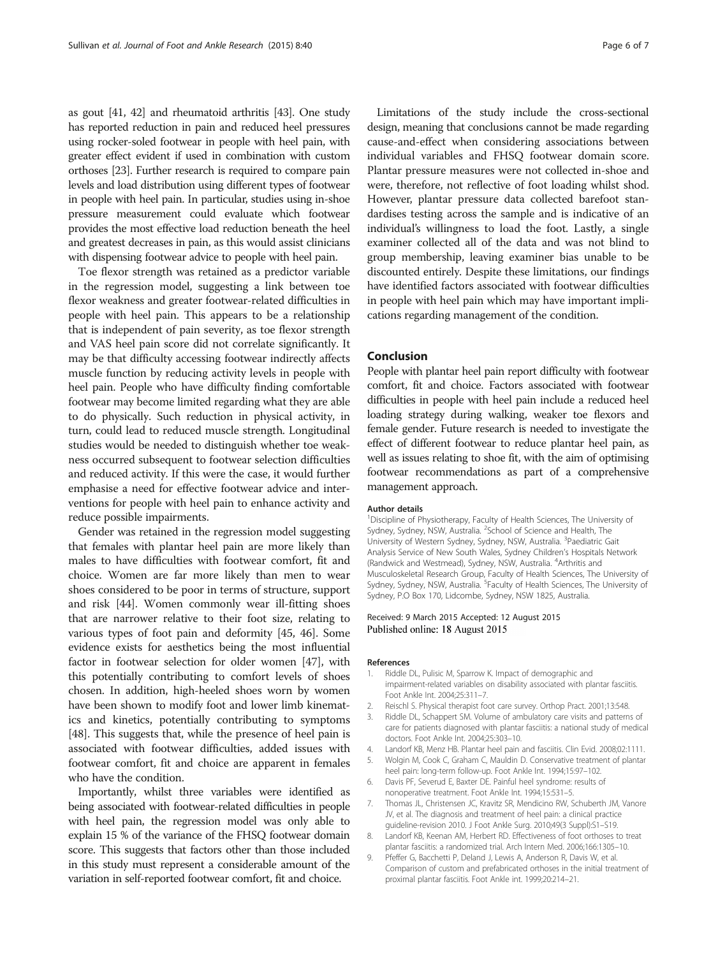<span id="page-5-0"></span>as gout [\[41, 42\]](#page-6-0) and rheumatoid arthritis [\[43\]](#page-6-0). One study has reported reduction in pain and reduced heel pressures using rocker-soled footwear in people with heel pain, with greater effect evident if used in combination with custom orthoses [[23\]](#page-6-0). Further research is required to compare pain levels and load distribution using different types of footwear in people with heel pain. In particular, studies using in-shoe pressure measurement could evaluate which footwear provides the most effective load reduction beneath the heel and greatest decreases in pain, as this would assist clinicians with dispensing footwear advice to people with heel pain.

Toe flexor strength was retained as a predictor variable in the regression model, suggesting a link between toe flexor weakness and greater footwear-related difficulties in people with heel pain. This appears to be a relationship that is independent of pain severity, as toe flexor strength and VAS heel pain score did not correlate significantly. It may be that difficulty accessing footwear indirectly affects muscle function by reducing activity levels in people with heel pain. People who have difficulty finding comfortable footwear may become limited regarding what they are able to do physically. Such reduction in physical activity, in turn, could lead to reduced muscle strength. Longitudinal studies would be needed to distinguish whether toe weakness occurred subsequent to footwear selection difficulties and reduced activity. If this were the case, it would further emphasise a need for effective footwear advice and interventions for people with heel pain to enhance activity and reduce possible impairments.

Gender was retained in the regression model suggesting that females with plantar heel pain are more likely than males to have difficulties with footwear comfort, fit and choice. Women are far more likely than men to wear shoes considered to be poor in terms of structure, support and risk [\[44\]](#page-6-0). Women commonly wear ill-fitting shoes that are narrower relative to their foot size, relating to various types of foot pain and deformity [\[45, 46\]](#page-6-0). Some evidence exists for aesthetics being the most influential factor in footwear selection for older women [[47](#page-6-0)], with this potentially contributing to comfort levels of shoes chosen. In addition, high-heeled shoes worn by women have been shown to modify foot and lower limb kinematics and kinetics, potentially contributing to symptoms [[48](#page-6-0)]. This suggests that, while the presence of heel pain is associated with footwear difficulties, added issues with footwear comfort, fit and choice are apparent in females who have the condition.

Importantly, whilst three variables were identified as being associated with footwear-related difficulties in people with heel pain, the regression model was only able to explain 15 % of the variance of the FHSQ footwear domain score. This suggests that factors other than those included in this study must represent a considerable amount of the variation in self-reported footwear comfort, fit and choice.

Limitations of the study include the cross-sectional design, meaning that conclusions cannot be made regarding cause-and-effect when considering associations between individual variables and FHSQ footwear domain score. Plantar pressure measures were not collected in-shoe and were, therefore, not reflective of foot loading whilst shod. However, plantar pressure data collected barefoot standardises testing across the sample and is indicative of an individual's willingness to load the foot. Lastly, a single examiner collected all of the data and was not blind to group membership, leaving examiner bias unable to be discounted entirely. Despite these limitations, our findings have identified factors associated with footwear difficulties in people with heel pain which may have important implications regarding management of the condition.

#### Conclusion

People with plantar heel pain report difficulty with footwear comfort, fit and choice. Factors associated with footwear difficulties in people with heel pain include a reduced heel loading strategy during walking, weaker toe flexors and female gender. Future research is needed to investigate the effect of different footwear to reduce plantar heel pain, as well as issues relating to shoe fit, with the aim of optimising footwear recommendations as part of a comprehensive management approach.

#### Author details

<sup>1</sup> Discipline of Physiotherapy, Faculty of Health Sciences, The University of Sydney, Sydney, NSW, Australia. <sup>2</sup>School of Science and Health, The University of Western Sydney, Sydney, NSW, Australia. <sup>3</sup>Paediatric Gait Analysis Service of New South Wales, Sydney Children's Hospitals Network (Randwick and Westmead), Sydney, NSW, Australia. <sup>4</sup> Arthritis and Musculoskeletal Research Group, Faculty of Health Sciences, The University of Sydney, Sydney, NSW, Australia. <sup>5</sup> Faculty of Health Sciences, The University of Sydney, P.O Box 170, Lidcombe, Sydney, NSW 1825, Australia.

#### Received: 9 March 2015 Accepted: 12 August 2015 Published online: 18 August 2015

#### References

- 1. Riddle DL, Pulisic M, Sparrow K. Impact of demographic and impairment-related variables on disability associated with plantar fasciitis. Foot Ankle Int. 2004;25:311–7.
- 2. Reischl S. Physical therapist foot care survey. Orthop Pract. 2001;13:548.
- 3. Riddle DL, Schappert SM. Volume of ambulatory care visits and patterns of care for patients diagnosed with plantar fasciitis: a national study of medical doctors. Foot Ankle Int. 2004;25:303–10.
- 4. Landorf KB, Menz HB. Plantar heel pain and fasciitis. Clin Evid. 2008;02:1111.
- 5. Wolgin M, Cook C, Graham C, Mauldin D. Conservative treatment of plantar heel pain: long-term follow-up. Foot Ankle Int. 1994;15:97–102.
- 6. Davis PF, Severud E, Baxter DE. Painful heel syndrome: results of nonoperative treatment. Foot Ankle Int. 1994;15:531–5.
- 7. Thomas JL, Christensen JC, Kravitz SR, Mendicino RW, Schuberth JM, Vanore JV, et al. The diagnosis and treatment of heel pain: a clinical practice guideline-revision 2010. J Foot Ankle Surg. 2010;49(3 Suppl):S1–S19.
- 8. Landorf KB, Keenan AM, Herbert RD. Effectiveness of foot orthoses to treat plantar fasciitis: a randomized trial. Arch Intern Med. 2006;166:1305–10.
- 9. Pfeffer G, Bacchetti P, Deland J, Lewis A, Anderson R, Davis W, et al. Comparison of custom and prefabricated orthoses in the initial treatment of proximal plantar fasciitis. Foot Ankle int. 1999;20:214–21.